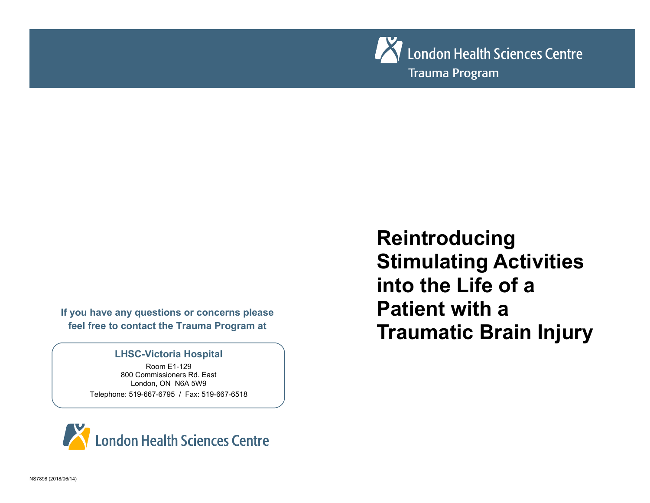

**If you have any questions or concerns please feel free to contact the Trauma Program at** 

### **LHSC-Victoria Hospital**

Room E1-129 800 Commissioners Rd. East London, ON N6A 5W9 Telephone: 519-667-6795 / Fax: 519-667-6518

**Reintroducing Stimulating Activities into the Life of a Patient with a Traumatic Brain Injury**